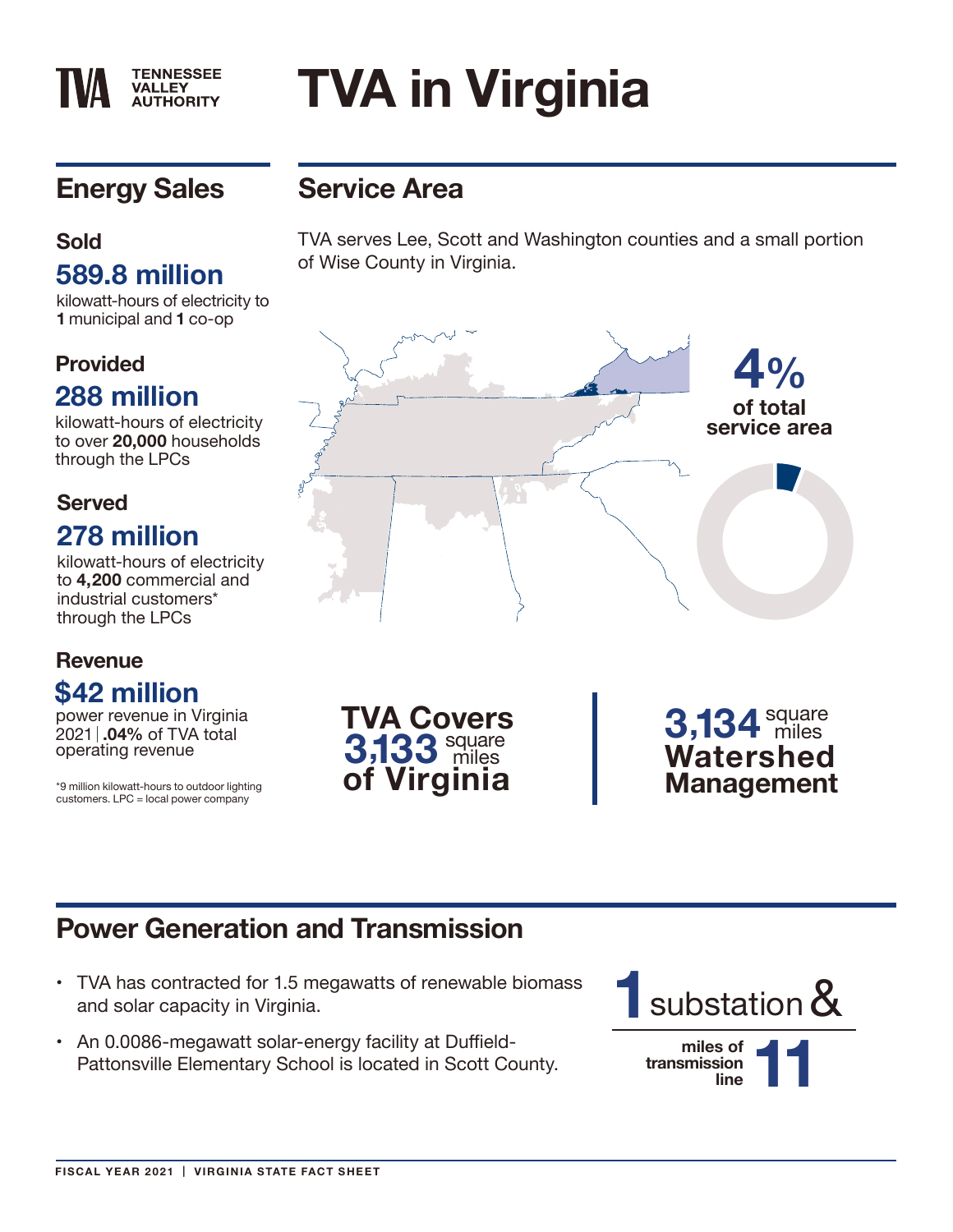#### **TENNESSEE VALLEY AUTHORITY**

# **TVA in Virginia**

## **Energy Sales**

#### **Sold 589.8 million**

kilowatt-hours of electricity to **1** municipal and **1** co-op

#### **Provided**

### **288 million**

kilowatt-hours of electricity to over **20,000** households through the LPCs

#### **Served 278 million**

kilowatt-hours of electricity to **4,200** commercial and industrial customers\* through the LPCs

#### **Revenue \$42 million**

power revenue in Virginia 2021 **.04%** of TVA total

\*9 million kilowatt-hours to outdoor lighting customers. LPC = local power company

## **Service Area**

TVA serves Lee, Scott and Washington counties and a small portion of Wise County in Virginia.



## **Power Generation and Transmission**

- TVA has contracted for 1.5 megawatts of renewable biomass and solar capacity in Virginia.
- An 0.0086-megawatt solar-energy facility at Duffield-Pattonsville Elementary School is located in Scott County.

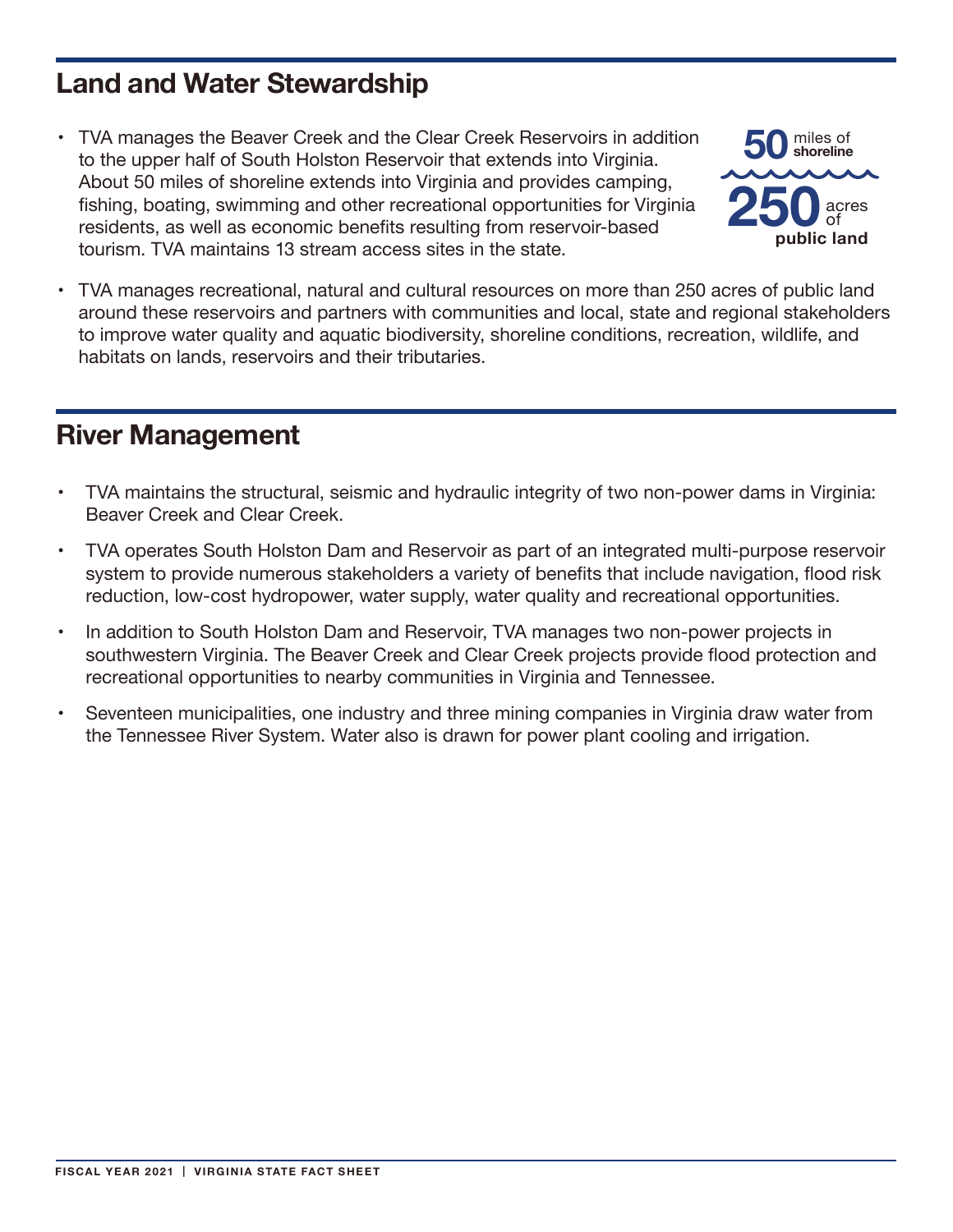#### **Land and Water Stewardship**

• TVA manages the Beaver Creek and the Clear Creek Reservoirs in addition to the upper half of South Holston Reservoir that extends into Virginia. About 50 miles of shoreline extends into Virginia and provides camping, fishing, boating, swimming and other recreational opportunities for Virginia residents, as well as economic benefits resulting from reservoir-based tourism. TVA maintains 13 stream access sites in the state.



TVA manages recreational, natural and cultural resources on more than 250 acres of public land around these reservoirs and partners with communities and local, state and regional stakeholders to improve water quality and aquatic biodiversity, shoreline conditions, recreation, wildlife, and habitats on lands, reservoirs and their tributaries.

#### **River Management**

- TVA maintains the structural, seismic and hydraulic integrity of two non-power dams in Virginia: Beaver Creek and Clear Creek.
- TVA operates South Holston Dam and Reservoir as part of an integrated multi-purpose reservoir system to provide numerous stakeholders a variety of benefits that include navigation, flood risk reduction, low-cost hydropower, water supply, water quality and recreational opportunities.
- In addition to South Holston Dam and Reservoir, TVA manages two non-power projects in southwestern Virginia. The Beaver Creek and Clear Creek projects provide flood protection and recreational opportunities to nearby communities in Virginia and Tennessee.
- • Seventeen municipalities, one industry and three mining companies in Virginia draw water from the Tennessee River System. Water also is drawn for power plant cooling and irrigation.